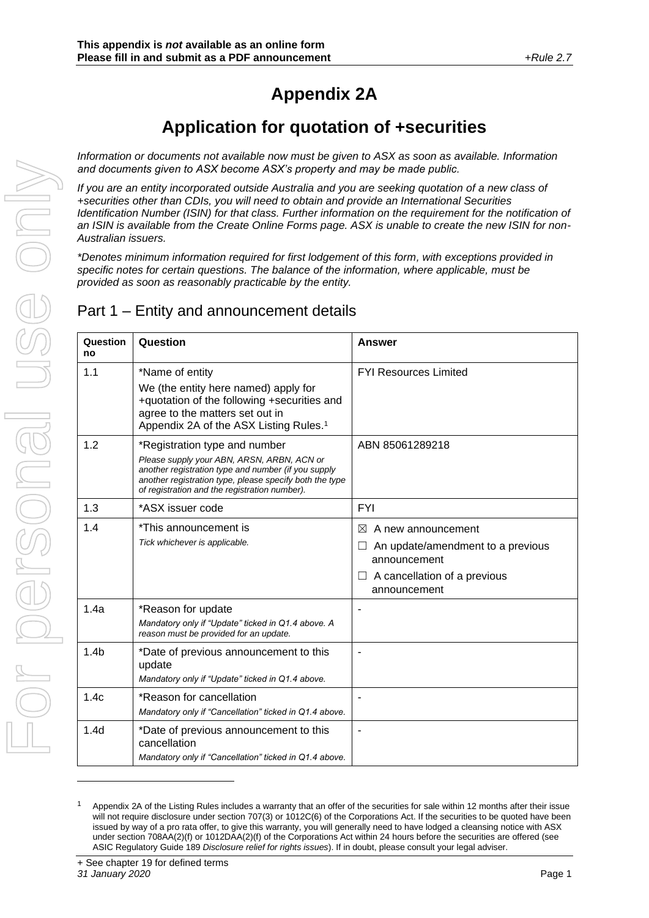# **Appendix 2A**

# **Application for quotation of +securities**

*Information or documents not available now must be given to ASX as soon as available. Information and documents given to ASX become ASX's property and may be made public.*

*If you are an entity incorporated outside Australia and you are seeking quotation of a new class of +securities other than CDIs, you will need to obtain and provide an International Securities Identification Number (ISIN) for that class. Further information on the requirement for the notification of an ISIN is available from the Create Online Forms page. ASX is unable to create the new ISIN for non-Australian issuers.* 

*\*Denotes minimum information required for first lodgement of this form, with exceptions provided in specific notes for certain questions. The balance of the information, where applicable, must be provided as soon as reasonably practicable by the entity.*

## Part 1 – Entity and announcement details

| Question<br>no   | Question                                                                                                                                                                                                                                       | <b>Answer</b>                                                                                                                                       |
|------------------|------------------------------------------------------------------------------------------------------------------------------------------------------------------------------------------------------------------------------------------------|-----------------------------------------------------------------------------------------------------------------------------------------------------|
| 1.1              | *Name of entity<br>We (the entity here named) apply for<br>+quotation of the following +securities and<br>agree to the matters set out in<br>Appendix 2A of the ASX Listing Rules. <sup>1</sup>                                                | <b>FYI Resources Limited</b>                                                                                                                        |
| 1.2              | *Registration type and number<br>Please supply your ABN, ARSN, ARBN, ACN or<br>another registration type and number (if you supply<br>another registration type, please specify both the type<br>of registration and the registration number). | ABN 85061289218                                                                                                                                     |
| 1.3              | *ASX issuer code                                                                                                                                                                                                                               | <b>FYI</b>                                                                                                                                          |
| 1.4              | *This announcement is<br>Tick whichever is applicable.                                                                                                                                                                                         | $\bowtie$<br>A new announcement<br>An update/amendment to a previous<br>$\Box$<br>announcement<br>A cancellation of a previous<br>⊔<br>announcement |
| 1.4a             | *Reason for update<br>Mandatory only if "Update" ticked in Q1.4 above. A<br>reason must be provided for an update.                                                                                                                             |                                                                                                                                                     |
| 1.4 <sub>b</sub> | *Date of previous announcement to this<br>update<br>Mandatory only if "Update" ticked in Q1.4 above.                                                                                                                                           |                                                                                                                                                     |
| 1.4c             | *Reason for cancellation<br>Mandatory only if "Cancellation" ticked in Q1.4 above.                                                                                                                                                             |                                                                                                                                                     |
| 1.4 <sub>d</sub> | *Date of previous announcement to this<br>cancellation<br>Mandatory only if "Cancellation" ticked in Q1.4 above.                                                                                                                               |                                                                                                                                                     |

Appendix 2A of the Listing Rules includes a warranty that an offer of the securities for sale within 12 months after their issue will not require disclosure under section 707(3) or 1012C(6) of the Corporations Act. If the securities to be quoted have been issued by way of a pro rata offer, to give this warranty, you will generally need to have lodged a cleansing notice with ASX under section 708AA(2)(f) or 1012DAA(2)(f) of the Corporations Act within 24 hours before the securities are offered (see ASIC Regulatory Guide 189 *Disclosure relief for rights issues*). If in doubt, please consult your legal adviser.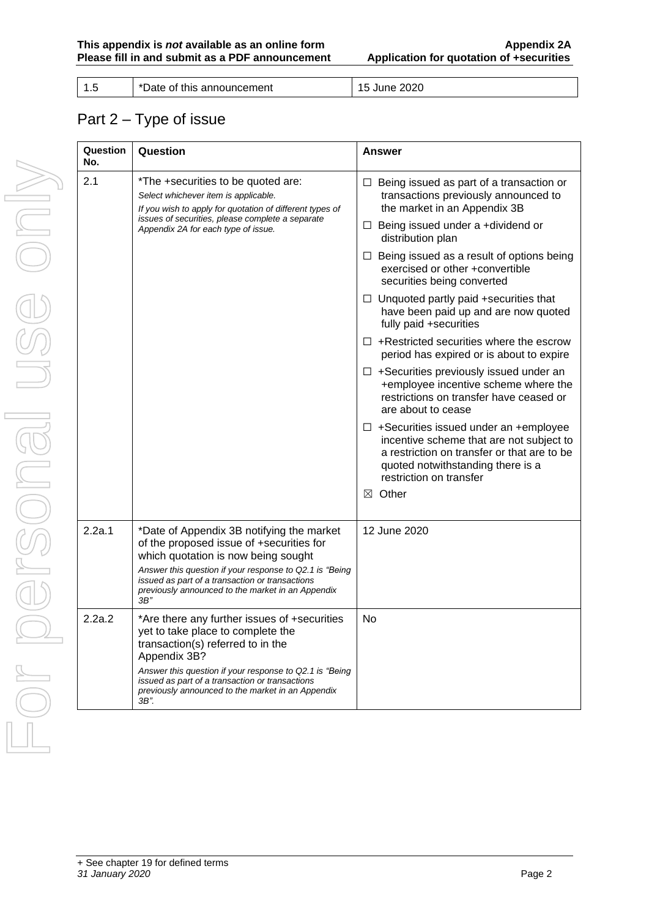1.5 **h** \*Date of this announcement 15 June 2020

## Part 2 – Type of issue

| Question<br>No. | Question                                                                                                                                                                                                                                                                                                 | Answer                                                                                                                                                                                                  |  |  |
|-----------------|----------------------------------------------------------------------------------------------------------------------------------------------------------------------------------------------------------------------------------------------------------------------------------------------------------|---------------------------------------------------------------------------------------------------------------------------------------------------------------------------------------------------------|--|--|
| 2.1             | *The +securities to be quoted are:<br>Select whichever item is applicable.<br>If you wish to apply for quotation of different types of<br>issues of securities, please complete a separate                                                                                                               | $\Box$ Being issued as part of a transaction or<br>transactions previously announced to<br>the market in an Appendix 3B                                                                                 |  |  |
|                 | Appendix 2A for each type of issue.                                                                                                                                                                                                                                                                      | $\Box$ Being issued under a +dividend or<br>distribution plan                                                                                                                                           |  |  |
|                 |                                                                                                                                                                                                                                                                                                          | $\Box$ Being issued as a result of options being<br>exercised or other +convertible<br>securities being converted                                                                                       |  |  |
|                 |                                                                                                                                                                                                                                                                                                          | $\Box$ Unquoted partly paid +securities that<br>have been paid up and are now quoted<br>fully paid +securities                                                                                          |  |  |
|                 |                                                                                                                                                                                                                                                                                                          | $\Box$ + Restricted securities where the escrow<br>period has expired or is about to expire                                                                                                             |  |  |
|                 |                                                                                                                                                                                                                                                                                                          | $\Box$ +Securities previously issued under an<br>+employee incentive scheme where the<br>restrictions on transfer have ceased or<br>are about to cease                                                  |  |  |
|                 |                                                                                                                                                                                                                                                                                                          | $\Box$ +Securities issued under an +employee<br>incentive scheme that are not subject to<br>a restriction on transfer or that are to be<br>quoted notwithstanding there is a<br>restriction on transfer |  |  |
|                 |                                                                                                                                                                                                                                                                                                          | $\boxtimes$ Other                                                                                                                                                                                       |  |  |
| 2.2a.1          | *Date of Appendix 3B notifying the market<br>of the proposed issue of +securities for<br>which quotation is now being sought<br>Answer this question if your response to Q2.1 is "Being"<br>issued as part of a transaction or transactions<br>previously announced to the market in an Appendix<br>3B'' | 12 June 2020                                                                                                                                                                                            |  |  |
| 2.2a.2          | *Are there any further issues of +securities<br>yet to take place to complete the<br>transaction(s) referred to in the<br>Appendix 3B?                                                                                                                                                                   | No                                                                                                                                                                                                      |  |  |
|                 | Answer this question if your response to Q2.1 is "Being"<br>issued as part of a transaction or transactions<br>previously announced to the market in an Appendix<br>3B".                                                                                                                                 |                                                                                                                                                                                                         |  |  |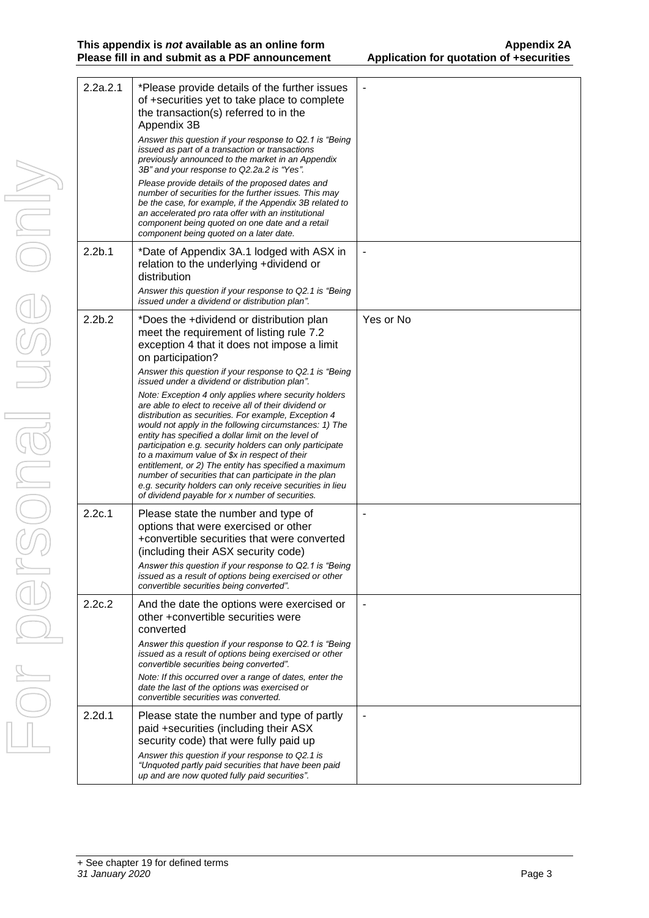| 2.2a.2.1           | *Please provide details of the further issues<br>of +securities yet to take place to complete<br>the transaction(s) referred to in the<br>Appendix 3B<br>Answer this question if your response to Q2.1 is "Being                                                                                                                                                                                                                                                                                                                                                                                                                       |           |
|--------------------|----------------------------------------------------------------------------------------------------------------------------------------------------------------------------------------------------------------------------------------------------------------------------------------------------------------------------------------------------------------------------------------------------------------------------------------------------------------------------------------------------------------------------------------------------------------------------------------------------------------------------------------|-----------|
|                    | issued as part of a transaction or transactions<br>previously announced to the market in an Appendix<br>3B" and your response to Q2.2a.2 is "Yes".                                                                                                                                                                                                                                                                                                                                                                                                                                                                                     |           |
|                    | Please provide details of the proposed dates and<br>number of securities for the further issues. This may<br>be the case, for example, if the Appendix 3B related to<br>an accelerated pro rata offer with an institutional<br>component being quoted on one date and a retail<br>component being quoted on a later date.                                                                                                                                                                                                                                                                                                              |           |
| 2.2 <sub>b.1</sub> | *Date of Appendix 3A.1 lodged with ASX in<br>relation to the underlying +dividend or<br>distribution                                                                                                                                                                                                                                                                                                                                                                                                                                                                                                                                   |           |
|                    | Answer this question if your response to Q2.1 is "Being<br>issued under a dividend or distribution plan".                                                                                                                                                                                                                                                                                                                                                                                                                                                                                                                              |           |
| 2.2 <sub>b.2</sub> | *Does the +dividend or distribution plan<br>meet the requirement of listing rule 7.2<br>exception 4 that it does not impose a limit<br>on participation?                                                                                                                                                                                                                                                                                                                                                                                                                                                                               | Yes or No |
|                    | Answer this question if your response to Q2.1 is "Being"<br>issued under a dividend or distribution plan".                                                                                                                                                                                                                                                                                                                                                                                                                                                                                                                             |           |
|                    | Note: Exception 4 only applies where security holders<br>are able to elect to receive all of their dividend or<br>distribution as securities. For example, Exception 4<br>would not apply in the following circumstances: 1) The<br>entity has specified a dollar limit on the level of<br>participation e.g. security holders can only participate<br>to a maximum value of \$x in respect of their<br>entitlement, or 2) The entity has specified a maximum<br>number of securities that can participate in the plan<br>e.g. security holders can only receive securities in lieu<br>of dividend payable for x number of securities. |           |
| 2.2c.1             | Please state the number and type of<br>options that were exercised or other<br>+convertible securities that were converted<br>(including their ASX security code)<br>Answer this question if your response to Q2.1 is "Being<br>issued as a result of options being exercised or other                                                                                                                                                                                                                                                                                                                                                 |           |
| 2.2c.2             | convertible securities being converted".                                                                                                                                                                                                                                                                                                                                                                                                                                                                                                                                                                                               |           |
|                    | And the date the options were exercised or<br>other +convertible securities were<br>converted                                                                                                                                                                                                                                                                                                                                                                                                                                                                                                                                          |           |
|                    | Answer this question if your response to Q2.1 is "Being<br>issued as a result of options being exercised or other<br>convertible securities being converted".                                                                                                                                                                                                                                                                                                                                                                                                                                                                          |           |
|                    | Note: If this occurred over a range of dates, enter the<br>date the last of the options was exercised or<br>convertible securities was converted.                                                                                                                                                                                                                                                                                                                                                                                                                                                                                      |           |
| 2.2d.1             | Please state the number and type of partly<br>paid +securities (including their ASX<br>security code) that were fully paid up<br>Answer this question if your response to Q2.1 is                                                                                                                                                                                                                                                                                                                                                                                                                                                      |           |
|                    | "Unquoted partly paid securities that have been paid<br>up and are now quoted fully paid securities".                                                                                                                                                                                                                                                                                                                                                                                                                                                                                                                                  |           |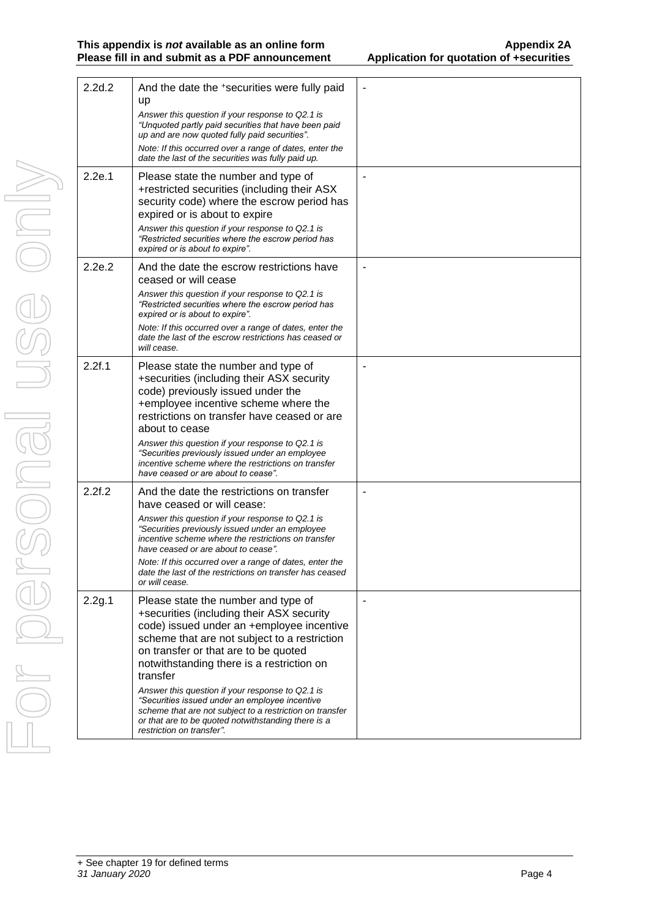#### **This appendix is** *not* **available as an online form Appendix 2A Please fill in and submit as a PDF announcement Application for quotation of +securities**

| Ĺ                         |
|---------------------------|
|                           |
| I<br>J<br>$\bigcirc$<br>j |
| O<br>j.                   |

| 2.2d.2 | And the date the +securities were fully paid<br>up<br>Answer this question if your response to Q2.1 is                                                                                                                                                                         |    |
|--------|--------------------------------------------------------------------------------------------------------------------------------------------------------------------------------------------------------------------------------------------------------------------------------|----|
|        | "Unquoted partly paid securities that have been paid<br>up and are now quoted fully paid securities".                                                                                                                                                                          |    |
|        | Note: If this occurred over a range of dates, enter the<br>date the last of the securities was fully paid up.                                                                                                                                                                  |    |
| 2.2e.1 | Please state the number and type of<br>+restricted securities (including their ASX<br>security code) where the escrow period has<br>expired or is about to expire                                                                                                              |    |
|        | Answer this question if your response to Q2.1 is<br>"Restricted securities where the escrow period has<br>expired or is about to expire".                                                                                                                                      |    |
| 2.2e.2 | And the date the escrow restrictions have<br>ceased or will cease                                                                                                                                                                                                              |    |
|        | Answer this question if your response to Q2.1 is<br>"Restricted securities where the escrow period has<br>expired or is about to expire".                                                                                                                                      |    |
|        | Note: If this occurred over a range of dates, enter the<br>date the last of the escrow restrictions has ceased or<br>will cease.                                                                                                                                               |    |
| 2.2f.1 | Please state the number and type of<br>+securities (including their ASX security<br>code) previously issued under the<br>+employee incentive scheme where the<br>restrictions on transfer have ceased or are<br>about to cease                                                 |    |
|        | Answer this question if your response to Q2.1 is<br>"Securities previously issued under an employee<br>incentive scheme where the restrictions on transfer<br>have ceased or are about to cease".                                                                              |    |
| 2.2f.2 | And the date the restrictions on transfer<br>have ceased or will cease:                                                                                                                                                                                                        |    |
|        | Answer this question if your response to Q2.1 is<br>"Securities previously issued under an employee<br>incentive scheme where the restrictions on transfer<br>have ceased or are about to cease".                                                                              |    |
|        | Note: If this occurred over a range of dates, enter the<br>date the last of the restrictions on transfer has ceased<br>or will cease.                                                                                                                                          |    |
| 2.2g.1 | Please state the number and type of<br>+securities (including their ASX security<br>code) issued under an +employee incentive<br>scheme that are not subject to a restriction<br>on transfer or that are to be quoted<br>notwithstanding there is a restriction on<br>transfer | ÷, |
|        | Answer this question if your response to Q2.1 is<br>"Securities issued under an employee incentive<br>scheme that are not subject to a restriction on transfer<br>or that are to be quoted notwithstanding there is a<br>restriction on transfer".                             |    |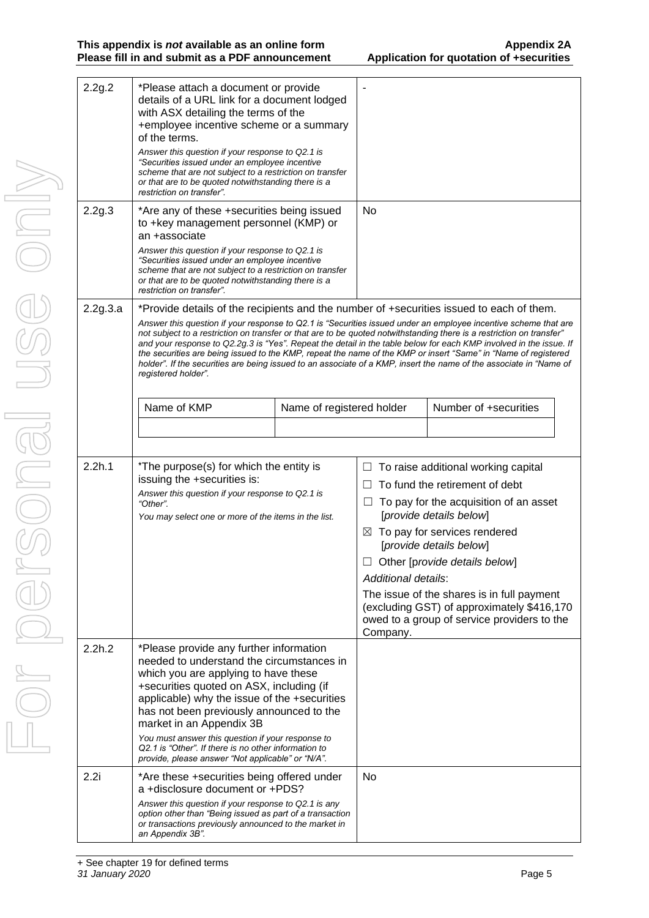| 2.2g.2<br>2.2g.3 | *Please attach a document or provide<br>details of a URL link for a document lodged<br>with ASX detailing the terms of the<br>+employee incentive scheme or a summary<br>of the terms.<br>Answer this question if your response to Q2.1 is<br>"Securities issued under an employee incentive<br>scheme that are not subject to a restriction on transfer<br>or that are to be quoted notwithstanding there is a<br>restriction on transfer".<br>*Are any of these +securities being issued                                                                                                                                                                                                                                |                           | <b>No</b>                                                                    |                                                                                                                                                                                                                                                                                                                                                                                          |
|------------------|---------------------------------------------------------------------------------------------------------------------------------------------------------------------------------------------------------------------------------------------------------------------------------------------------------------------------------------------------------------------------------------------------------------------------------------------------------------------------------------------------------------------------------------------------------------------------------------------------------------------------------------------------------------------------------------------------------------------------|---------------------------|------------------------------------------------------------------------------|------------------------------------------------------------------------------------------------------------------------------------------------------------------------------------------------------------------------------------------------------------------------------------------------------------------------------------------------------------------------------------------|
|                  | to +key management personnel (KMP) or<br>an +associate<br>Answer this question if your response to Q2.1 is<br>"Securities issued under an employee incentive<br>scheme that are not subject to a restriction on transfer<br>or that are to be quoted notwithstanding there is a<br>restriction on transfer".                                                                                                                                                                                                                                                                                                                                                                                                              |                           |                                                                              |                                                                                                                                                                                                                                                                                                                                                                                          |
| 2.2g.3.a         | *Provide details of the recipients and the number of +securities issued to each of them.<br>Answer this question if your response to Q2.1 is "Securities issued under an employee incentive scheme that are<br>not subject to a restriction on transfer or that are to be quoted notwithstanding there is a restriction on transfer"<br>and your response to Q2.2g.3 is "Yes". Repeat the detail in the table below for each KMP involved in the issue. If<br>the securities are being issued to the KMP, repeat the name of the KMP or insert "Same" in "Name of registered<br>holder". If the securities are being issued to an associate of a KMP, insert the name of the associate in "Name of<br>registered holder". |                           |                                                                              |                                                                                                                                                                                                                                                                                                                                                                                          |
|                  | Name of KMP                                                                                                                                                                                                                                                                                                                                                                                                                                                                                                                                                                                                                                                                                                               | Name of registered holder |                                                                              | Number of +securities                                                                                                                                                                                                                                                                                                                                                                    |
|                  |                                                                                                                                                                                                                                                                                                                                                                                                                                                                                                                                                                                                                                                                                                                           |                           |                                                                              |                                                                                                                                                                                                                                                                                                                                                                                          |
| 2.2h.1           | *The purpose(s) for which the entity is<br>issuing the +securities is:<br>Answer this question if your response to Q2.1 is<br>"Other".<br>You may select one or more of the items in the list.                                                                                                                                                                                                                                                                                                                                                                                                                                                                                                                            |                           | $\Box$<br>$\Box$<br>$\Box$<br>$\boxtimes$<br>Additional details:<br>Company. | To raise additional working capital<br>To fund the retirement of debt<br>To pay for the acquisition of an asset<br>[provide details below]<br>To pay for services rendered<br>[provide details below]<br>$\Box$ Other [provide details below]<br>The issue of the shares is in full payment<br>(excluding GST) of approximately \$416,170<br>owed to a group of service providers to the |
| 2.2h.2           | *Please provide any further information<br>needed to understand the circumstances in<br>which you are applying to have these<br>+securities quoted on ASX, including (if<br>applicable) why the issue of the +securities<br>has not been previously announced to the<br>market in an Appendix 3B<br>You must answer this question if your response to<br>Q2.1 is "Other". If there is no other information to<br>provide, please answer "Not applicable" or "N/A".                                                                                                                                                                                                                                                        |                           |                                                                              |                                                                                                                                                                                                                                                                                                                                                                                          |
| 2.2i             | *Are these +securities being offered under<br>a +disclosure document or +PDS?<br>Answer this question if your response to Q2.1 is any<br>option other than "Being issued as part of a transaction<br>or transactions previously announced to the market in<br>an Appendix 3B".                                                                                                                                                                                                                                                                                                                                                                                                                                            |                           | No                                                                           |                                                                                                                                                                                                                                                                                                                                                                                          |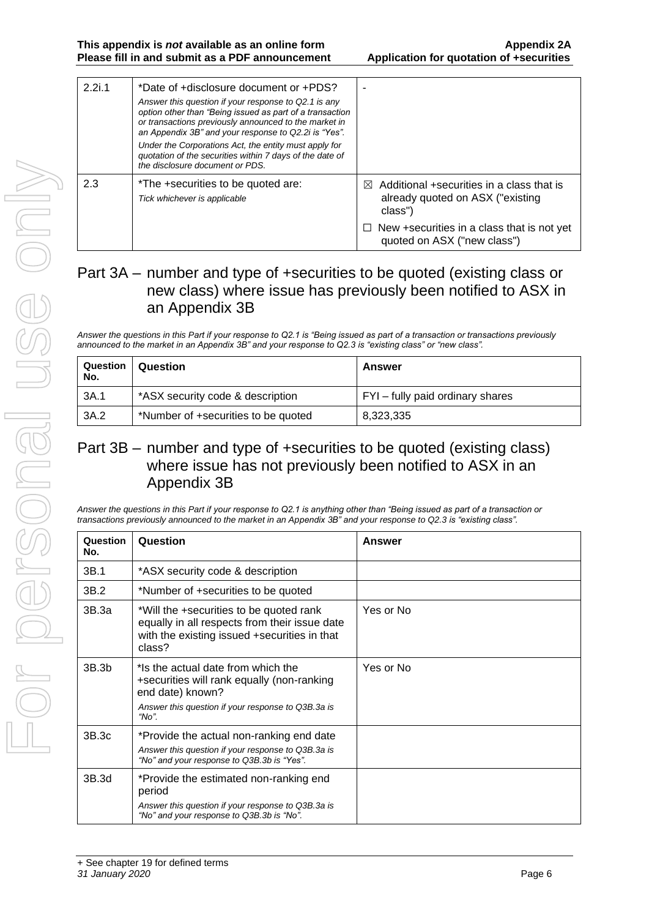| 2.2i.1 | *Date of +disclosure document or +PDS?<br>Answer this question if your response to Q2.1 is any<br>option other than "Being issued as part of a transaction<br>or transactions previously announced to the market in<br>an Appendix 3B" and your response to Q2.2i is "Yes".<br>Under the Corporations Act, the entity must apply for |                                                                                                       |
|--------|--------------------------------------------------------------------------------------------------------------------------------------------------------------------------------------------------------------------------------------------------------------------------------------------------------------------------------------|-------------------------------------------------------------------------------------------------------|
|        | quotation of the securities within 7 days of the date of<br>the disclosure document or PDS.                                                                                                                                                                                                                                          |                                                                                                       |
| 2.3    | *The +securities to be quoted are:<br>Tick whichever is applicable                                                                                                                                                                                                                                                                   | Additional +securities in a class that is<br>$\bowtie$<br>already quoted on ASX ("existing<br>class") |
|        |                                                                                                                                                                                                                                                                                                                                      | $\Box$ New +securities in a class that is not yet<br>quoted on ASX ("new class")                      |

### Part 3A – number and type of +securities to be quoted (existing class or new class) where issue has previously been notified to ASX in an Appendix 3B

*Answer the questions in this Part if your response to Q2.1 is "Being issued as part of a transaction or transactions previously announced to the market in an Appendix 3B" and your response to Q2.3 is "existing class" or "new class".*

| Question<br>No. | Question                                                             | Answer    |
|-----------------|----------------------------------------------------------------------|-----------|
| 3A.1            | *ASX security code & description<br>FYI - fully paid ordinary shares |           |
| 3A.2            | *Number of +securities to be quoted                                  | 8,323,335 |

### Part 3B – number and type of +securities to be quoted (existing class) where issue has not previously been notified to ASX in an Appendix 3B

*Answer the questions in this Part if your response to Q2.1 is anything other than "Being issued as part of a transaction or transactions previously announced to the market in an Appendix 3B" and your response to Q2.3 is "existing class".*

| Question<br>No.   | Question                                                                                                                                                            | Answer    |
|-------------------|---------------------------------------------------------------------------------------------------------------------------------------------------------------------|-----------|
| 3B.1              | *ASX security code & description                                                                                                                                    |           |
| 3B.2              | *Number of +securities to be quoted                                                                                                                                 |           |
| 3B.3a             | *Will the +securities to be quoted rank<br>equally in all respects from their issue date<br>with the existing issued +securities in that<br>class?                  | Yes or No |
| 3B.3 <sub>b</sub> | *Is the actual date from which the<br>+securities will rank equally (non-ranking<br>end date) known?<br>Answer this question if your response to Q3B.3a is<br>"No". | Yes or No |
| 3B.3c             | *Provide the actual non-ranking end date<br>Answer this question if your response to Q3B.3a is<br>"No" and your response to Q3B.3b is "Yes".                        |           |
| 3B.3d             | *Provide the estimated non-ranking end<br>period<br>Answer this question if your response to Q3B.3a is<br>"No" and your response to Q3B.3b is "No".                 |           |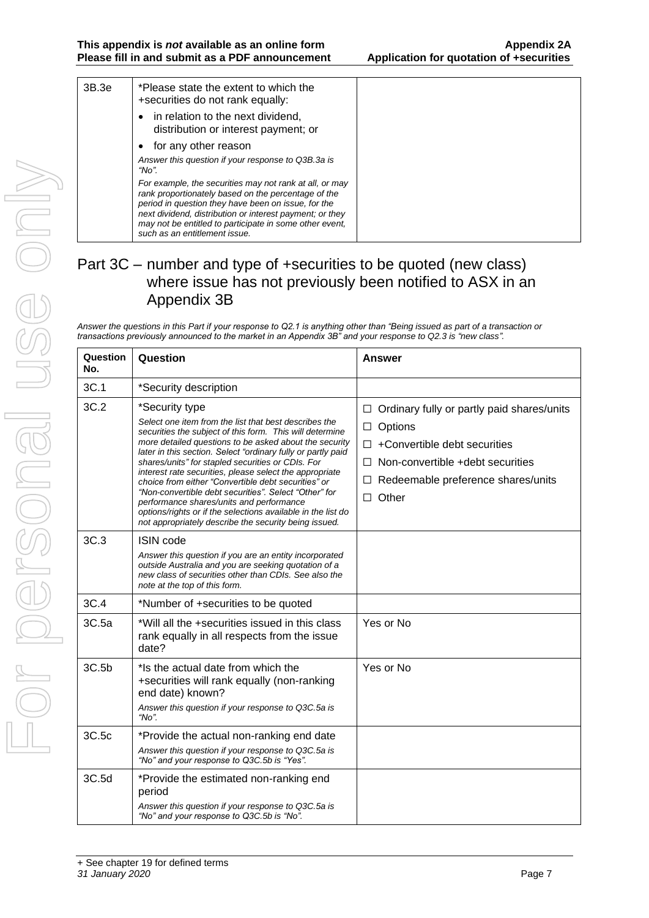| 3B.3e | *Please state the extent to which the<br>+securities do not rank equally:                                                                                                                                                                                                                                                     |  |
|-------|-------------------------------------------------------------------------------------------------------------------------------------------------------------------------------------------------------------------------------------------------------------------------------------------------------------------------------|--|
|       | • in relation to the next dividend,<br>distribution or interest payment; or                                                                                                                                                                                                                                                   |  |
|       | for any other reason                                                                                                                                                                                                                                                                                                          |  |
|       | Answer this question if your response to Q3B.3a is<br>"No".                                                                                                                                                                                                                                                                   |  |
|       | For example, the securities may not rank at all, or may<br>rank proportionately based on the percentage of the<br>period in question they have been on issue, for the<br>next dividend, distribution or interest payment; or they<br>may not be entitled to participate in some other event,<br>such as an entitlement issue. |  |

### Part 3C – number and type of +securities to be quoted (new class) where issue has not previously been notified to ASX in an Appendix 3B

*Answer the questions in this Part if your response to Q2.1 is anything other than "Being issued as part of a transaction or transactions previously announced to the market in an Appendix 3B" and your response to Q2.3 is "new class".*

| Question<br>No. | Question                                                                                                                                                                                                                                                                                                                                                                                                                                                                                                                                                                                                                                                           | Answer                                                                                                                                                                                                                         |
|-----------------|--------------------------------------------------------------------------------------------------------------------------------------------------------------------------------------------------------------------------------------------------------------------------------------------------------------------------------------------------------------------------------------------------------------------------------------------------------------------------------------------------------------------------------------------------------------------------------------------------------------------------------------------------------------------|--------------------------------------------------------------------------------------------------------------------------------------------------------------------------------------------------------------------------------|
| 3C.1            | *Security description                                                                                                                                                                                                                                                                                                                                                                                                                                                                                                                                                                                                                                              |                                                                                                                                                                                                                                |
| 3C.2            | *Security type<br>Select one item from the list that best describes the<br>securities the subject of this form. This will determine<br>more detailed questions to be asked about the security<br>later in this section. Select "ordinary fully or partly paid<br>shares/units" for stapled securities or CDIs. For<br>interest rate securities, please select the appropriate<br>choice from either "Convertible debt securities" or<br>"Non-convertible debt securities". Select "Other" for<br>performance shares/units and performance<br>options/rights or if the selections available in the list do<br>not appropriately describe the security being issued. | $\Box$ Ordinary fully or partly paid shares/units<br>Options<br>$\Box$<br>+Convertible debt securities<br>$\Box$<br>Non-convertible +debt securities<br>$\Box$<br>Redeemable preference shares/units<br>$\Box$<br>$\Box$ Other |
| 3C.3            | <b>ISIN</b> code<br>Answer this question if you are an entity incorporated<br>outside Australia and you are seeking quotation of a<br>new class of securities other than CDIs. See also the<br>note at the top of this form.                                                                                                                                                                                                                                                                                                                                                                                                                                       |                                                                                                                                                                                                                                |
| 3C.4            | *Number of +securities to be quoted                                                                                                                                                                                                                                                                                                                                                                                                                                                                                                                                                                                                                                |                                                                                                                                                                                                                                |
| 3C.5a           | *Will all the +securities issued in this class<br>rank equally in all respects from the issue<br>date?                                                                                                                                                                                                                                                                                                                                                                                                                                                                                                                                                             | Yes or No                                                                                                                                                                                                                      |
| 3C.5b           | *Is the actual date from which the<br>+securities will rank equally (non-ranking<br>end date) known?<br>Answer this question if your response to Q3C.5a is<br>"No".                                                                                                                                                                                                                                                                                                                                                                                                                                                                                                | Yes or No                                                                                                                                                                                                                      |
| 3C.5c           | *Provide the actual non-ranking end date<br>Answer this question if your response to Q3C.5a is<br>"No" and your response to Q3C.5b is "Yes".                                                                                                                                                                                                                                                                                                                                                                                                                                                                                                                       |                                                                                                                                                                                                                                |
| 3C.5d           | *Provide the estimated non-ranking end<br>period<br>Answer this question if your response to Q3C.5a is<br>"No" and your response to Q3C.5b is "No".                                                                                                                                                                                                                                                                                                                                                                                                                                                                                                                |                                                                                                                                                                                                                                |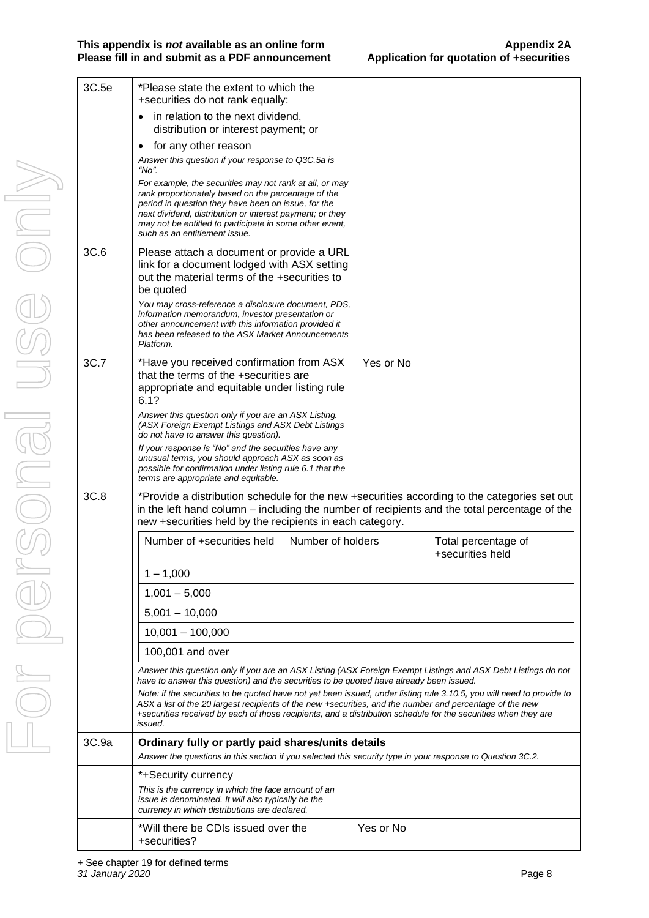| 3C.5e | *Please state the extent to which the<br>+securities do not rank equally:                                                                                                                                                                                                                                                                                                                                                                                 |                   |           |                                         |
|-------|-----------------------------------------------------------------------------------------------------------------------------------------------------------------------------------------------------------------------------------------------------------------------------------------------------------------------------------------------------------------------------------------------------------------------------------------------------------|-------------------|-----------|-----------------------------------------|
|       | in relation to the next dividend,<br>distribution or interest payment; or                                                                                                                                                                                                                                                                                                                                                                                 |                   |           |                                         |
|       | for any other reason                                                                                                                                                                                                                                                                                                                                                                                                                                      |                   |           |                                         |
|       | Answer this question if your response to Q3C.5a is<br>"No".                                                                                                                                                                                                                                                                                                                                                                                               |                   |           |                                         |
|       | For example, the securities may not rank at all, or may<br>rank proportionately based on the percentage of the<br>period in question they have been on issue, for the<br>next dividend, distribution or interest payment; or they<br>may not be entitled to participate in some other event,<br>such as an entitlement issue.                                                                                                                             |                   |           |                                         |
| 3C.6  | Please attach a document or provide a URL<br>link for a document lodged with ASX setting<br>out the material terms of the +securities to<br>be quoted<br>You may cross-reference a disclosure document, PDS,                                                                                                                                                                                                                                              |                   |           |                                         |
|       | information memorandum, investor presentation or<br>other announcement with this information provided it<br>has been released to the ASX Market Announcements<br>Platform.                                                                                                                                                                                                                                                                                |                   |           |                                         |
| 3C.7  | *Have you received confirmation from ASX<br>that the terms of the +securities are<br>appropriate and equitable under listing rule<br>6.1?                                                                                                                                                                                                                                                                                                                 |                   | Yes or No |                                         |
|       | Answer this question only if you are an ASX Listing.<br>(ASX Foreign Exempt Listings and ASX Debt Listings<br>do not have to answer this question).                                                                                                                                                                                                                                                                                                       |                   |           |                                         |
|       | If your response is "No" and the securities have any<br>unusual terms, you should approach ASX as soon as<br>possible for confirmation under listing rule 6.1 that the<br>terms are appropriate and equitable.                                                                                                                                                                                                                                            |                   |           |                                         |
| 3C.8  | *Provide a distribution schedule for the new +securities according to the categories set out<br>in the left hand column – including the number of recipients and the total percentage of the<br>new +securities held by the recipients in each category.                                                                                                                                                                                                  |                   |           |                                         |
|       | Number of +securities held                                                                                                                                                                                                                                                                                                                                                                                                                                | Number of holders |           | Total percentage of<br>+securities held |
|       | $1 - 1,000$                                                                                                                                                                                                                                                                                                                                                                                                                                               |                   |           |                                         |
|       | $1,001 - 5,000$                                                                                                                                                                                                                                                                                                                                                                                                                                           |                   |           |                                         |
|       | $5,001 - 10,000$                                                                                                                                                                                                                                                                                                                                                                                                                                          |                   |           |                                         |
|       | $10,001 - 100,000$                                                                                                                                                                                                                                                                                                                                                                                                                                        |                   |           |                                         |
|       | 100,001 and over                                                                                                                                                                                                                                                                                                                                                                                                                                          |                   |           |                                         |
|       | Answer this question only if you are an ASX Listing (ASX Foreign Exempt Listings and ASX Debt Listings do not                                                                                                                                                                                                                                                                                                                                             |                   |           |                                         |
|       | have to answer this question) and the securities to be quoted have already been issued.<br>Note: if the securities to be quoted have not yet been issued, under listing rule 3.10.5, you will need to provide to<br>ASX a list of the 20 largest recipients of the new +securities, and the number and percentage of the new<br>+securities received by each of those recipients, and a distribution schedule for the securities when they are<br>issued. |                   |           |                                         |
| 3C.9a | Ordinary fully or partly paid shares/units details<br>Answer the questions in this section if you selected this security type in your response to Question 3C.2.                                                                                                                                                                                                                                                                                          |                   |           |                                         |
|       | *+Security currency                                                                                                                                                                                                                                                                                                                                                                                                                                       |                   |           |                                         |
|       | This is the currency in which the face amount of an<br>issue is denominated. It will also typically be the<br>currency in which distributions are declared.                                                                                                                                                                                                                                                                                               |                   |           |                                         |
|       | *Will there be CDIs issued over the<br>+securities?                                                                                                                                                                                                                                                                                                                                                                                                       |                   | Yes or No |                                         |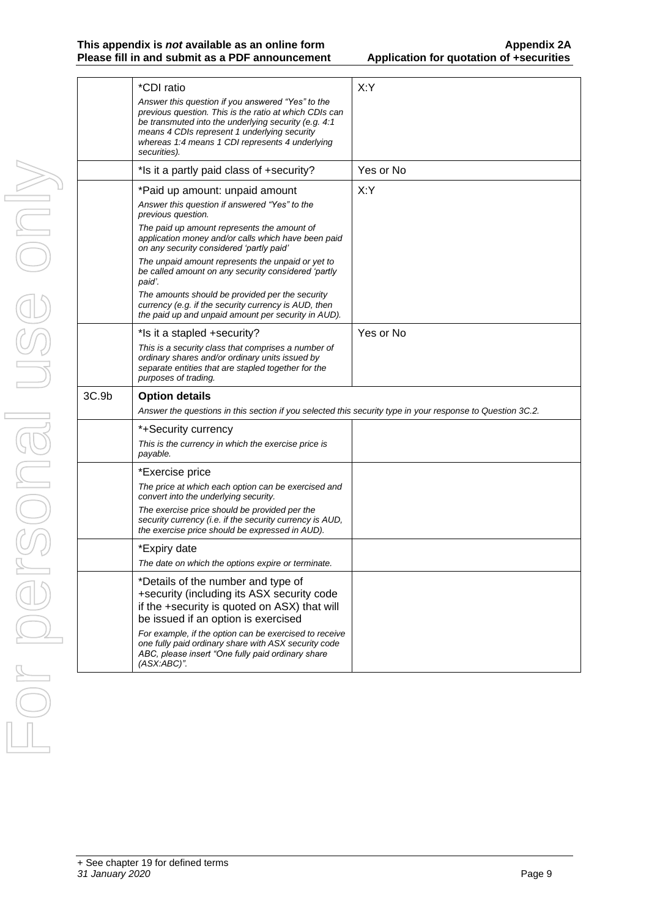#### **This appendix is** *not* **available as an online form Appendix 2A Please fill in and submit as a PDF announcement**

| X:Y<br>*CDI ratio<br>Answer this question if you answered "Yes" to the<br>previous question. This is the ratio at which CDIs can<br>be transmuted into the underlying security (e.g. 4:1<br>means 4 CDIs represent 1 underlying security<br>whereas 1:4 means 1 CDI represents 4 underlying<br>securities).<br>Yes or No<br>*Is it a partly paid class of +security?<br>X:Y<br>*Paid up amount: unpaid amount<br>Answer this question if answered "Yes" to the<br>previous question.<br>The paid up amount represents the amount of<br>application money and/or calls which have been paid<br>on any security considered 'partly paid'<br>The unpaid amount represents the unpaid or yet to<br>be called amount on any security considered 'partly<br>paid'.<br>The amounts should be provided per the security<br>currency (e.g. if the security currency is AUD, then<br>the paid up and unpaid amount per security in AUD).<br>Yes or No<br>*Is it a stapled +security?<br>This is a security class that comprises a number of<br>ordinary shares and/or ordinary units issued by<br>separate entities that are stapled together for the<br>purposes of trading.<br>3C.9b<br><b>Option details</b><br>Answer the questions in this section if you selected this security type in your response to Question 3C.2.<br>*+Security currency<br>This is the currency in which the exercise price is<br>payable.<br>*Exercise price<br>The price at which each option can be exercised and<br>convert into the underlying security.<br>The exercise price should be provided per the<br>security currency (i.e. if the security currency is AUD,<br>the exercise price should be expressed in AUD).<br>*Expiry date<br>The date on which the options expire or terminate.<br>*Details of the number and type of<br>+security (including its ASX security code<br>if the +security is quoted on ASX) that will<br>be issued if an option is exercised<br>For example, if the option can be exercised to receive<br>one fully paid ordinary share with ASX security code<br>ABC, please insert "One fully paid ordinary share<br>(ASX:ABC)". |  |  |
|-----------------------------------------------------------------------------------------------------------------------------------------------------------------------------------------------------------------------------------------------------------------------------------------------------------------------------------------------------------------------------------------------------------------------------------------------------------------------------------------------------------------------------------------------------------------------------------------------------------------------------------------------------------------------------------------------------------------------------------------------------------------------------------------------------------------------------------------------------------------------------------------------------------------------------------------------------------------------------------------------------------------------------------------------------------------------------------------------------------------------------------------------------------------------------------------------------------------------------------------------------------------------------------------------------------------------------------------------------------------------------------------------------------------------------------------------------------------------------------------------------------------------------------------------------------------------------------------------------------------------------------------------------------------------------------------------------------------------------------------------------------------------------------------------------------------------------------------------------------------------------------------------------------------------------------------------------------------------------------------------------------------------------------------------------------------------------------------------------------------------------------------|--|--|
|                                                                                                                                                                                                                                                                                                                                                                                                                                                                                                                                                                                                                                                                                                                                                                                                                                                                                                                                                                                                                                                                                                                                                                                                                                                                                                                                                                                                                                                                                                                                                                                                                                                                                                                                                                                                                                                                                                                                                                                                                                                                                                                                         |  |  |
|                                                                                                                                                                                                                                                                                                                                                                                                                                                                                                                                                                                                                                                                                                                                                                                                                                                                                                                                                                                                                                                                                                                                                                                                                                                                                                                                                                                                                                                                                                                                                                                                                                                                                                                                                                                                                                                                                                                                                                                                                                                                                                                                         |  |  |
|                                                                                                                                                                                                                                                                                                                                                                                                                                                                                                                                                                                                                                                                                                                                                                                                                                                                                                                                                                                                                                                                                                                                                                                                                                                                                                                                                                                                                                                                                                                                                                                                                                                                                                                                                                                                                                                                                                                                                                                                                                                                                                                                         |  |  |
|                                                                                                                                                                                                                                                                                                                                                                                                                                                                                                                                                                                                                                                                                                                                                                                                                                                                                                                                                                                                                                                                                                                                                                                                                                                                                                                                                                                                                                                                                                                                                                                                                                                                                                                                                                                                                                                                                                                                                                                                                                                                                                                                         |  |  |
|                                                                                                                                                                                                                                                                                                                                                                                                                                                                                                                                                                                                                                                                                                                                                                                                                                                                                                                                                                                                                                                                                                                                                                                                                                                                                                                                                                                                                                                                                                                                                                                                                                                                                                                                                                                                                                                                                                                                                                                                                                                                                                                                         |  |  |
|                                                                                                                                                                                                                                                                                                                                                                                                                                                                                                                                                                                                                                                                                                                                                                                                                                                                                                                                                                                                                                                                                                                                                                                                                                                                                                                                                                                                                                                                                                                                                                                                                                                                                                                                                                                                                                                                                                                                                                                                                                                                                                                                         |  |  |
|                                                                                                                                                                                                                                                                                                                                                                                                                                                                                                                                                                                                                                                                                                                                                                                                                                                                                                                                                                                                                                                                                                                                                                                                                                                                                                                                                                                                                                                                                                                                                                                                                                                                                                                                                                                                                                                                                                                                                                                                                                                                                                                                         |  |  |
|                                                                                                                                                                                                                                                                                                                                                                                                                                                                                                                                                                                                                                                                                                                                                                                                                                                                                                                                                                                                                                                                                                                                                                                                                                                                                                                                                                                                                                                                                                                                                                                                                                                                                                                                                                                                                                                                                                                                                                                                                                                                                                                                         |  |  |
|                                                                                                                                                                                                                                                                                                                                                                                                                                                                                                                                                                                                                                                                                                                                                                                                                                                                                                                                                                                                                                                                                                                                                                                                                                                                                                                                                                                                                                                                                                                                                                                                                                                                                                                                                                                                                                                                                                                                                                                                                                                                                                                                         |  |  |
|                                                                                                                                                                                                                                                                                                                                                                                                                                                                                                                                                                                                                                                                                                                                                                                                                                                                                                                                                                                                                                                                                                                                                                                                                                                                                                                                                                                                                                                                                                                                                                                                                                                                                                                                                                                                                                                                                                                                                                                                                                                                                                                                         |  |  |
|                                                                                                                                                                                                                                                                                                                                                                                                                                                                                                                                                                                                                                                                                                                                                                                                                                                                                                                                                                                                                                                                                                                                                                                                                                                                                                                                                                                                                                                                                                                                                                                                                                                                                                                                                                                                                                                                                                                                                                                                                                                                                                                                         |  |  |
|                                                                                                                                                                                                                                                                                                                                                                                                                                                                                                                                                                                                                                                                                                                                                                                                                                                                                                                                                                                                                                                                                                                                                                                                                                                                                                                                                                                                                                                                                                                                                                                                                                                                                                                                                                                                                                                                                                                                                                                                                                                                                                                                         |  |  |
|                                                                                                                                                                                                                                                                                                                                                                                                                                                                                                                                                                                                                                                                                                                                                                                                                                                                                                                                                                                                                                                                                                                                                                                                                                                                                                                                                                                                                                                                                                                                                                                                                                                                                                                                                                                                                                                                                                                                                                                                                                                                                                                                         |  |  |
|                                                                                                                                                                                                                                                                                                                                                                                                                                                                                                                                                                                                                                                                                                                                                                                                                                                                                                                                                                                                                                                                                                                                                                                                                                                                                                                                                                                                                                                                                                                                                                                                                                                                                                                                                                                                                                                                                                                                                                                                                                                                                                                                         |  |  |
|                                                                                                                                                                                                                                                                                                                                                                                                                                                                                                                                                                                                                                                                                                                                                                                                                                                                                                                                                                                                                                                                                                                                                                                                                                                                                                                                                                                                                                                                                                                                                                                                                                                                                                                                                                                                                                                                                                                                                                                                                                                                                                                                         |  |  |
|                                                                                                                                                                                                                                                                                                                                                                                                                                                                                                                                                                                                                                                                                                                                                                                                                                                                                                                                                                                                                                                                                                                                                                                                                                                                                                                                                                                                                                                                                                                                                                                                                                                                                                                                                                                                                                                                                                                                                                                                                                                                                                                                         |  |  |
|                                                                                                                                                                                                                                                                                                                                                                                                                                                                                                                                                                                                                                                                                                                                                                                                                                                                                                                                                                                                                                                                                                                                                                                                                                                                                                                                                                                                                                                                                                                                                                                                                                                                                                                                                                                                                                                                                                                                                                                                                                                                                                                                         |  |  |
|                                                                                                                                                                                                                                                                                                                                                                                                                                                                                                                                                                                                                                                                                                                                                                                                                                                                                                                                                                                                                                                                                                                                                                                                                                                                                                                                                                                                                                                                                                                                                                                                                                                                                                                                                                                                                                                                                                                                                                                                                                                                                                                                         |  |  |
|                                                                                                                                                                                                                                                                                                                                                                                                                                                                                                                                                                                                                                                                                                                                                                                                                                                                                                                                                                                                                                                                                                                                                                                                                                                                                                                                                                                                                                                                                                                                                                                                                                                                                                                                                                                                                                                                                                                                                                                                                                                                                                                                         |  |  |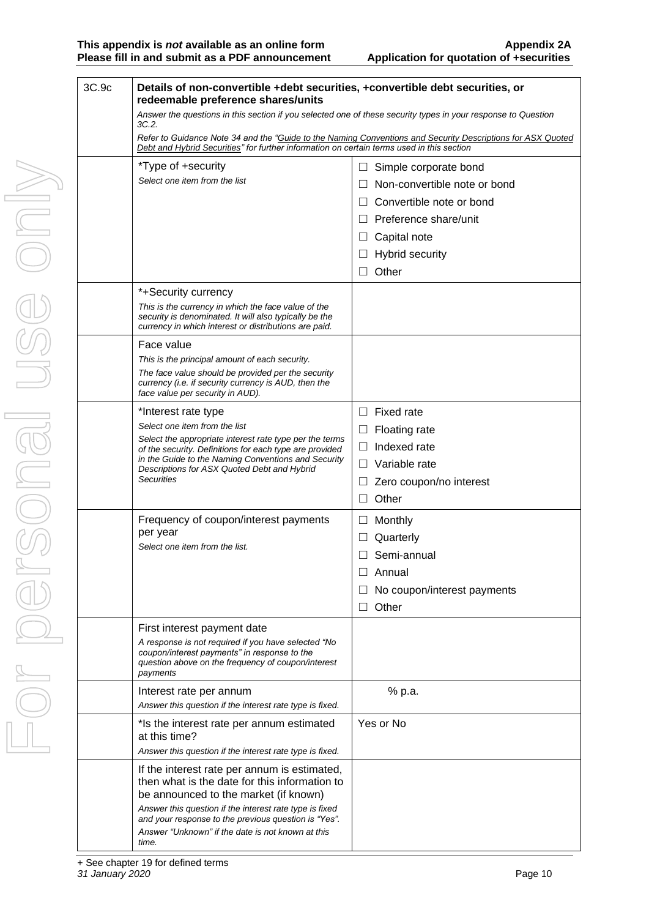| 3C.9c | Details of non-convertible +debt securities, +convertible debt securities, or<br>redeemable preference shares/units                                                                                      |                                         |
|-------|----------------------------------------------------------------------------------------------------------------------------------------------------------------------------------------------------------|-----------------------------------------|
|       | Answer the questions in this section if you selected one of these security types in your response to Question<br>3C.2.                                                                                   |                                         |
|       | Refer to Guidance Note 34 and the "Guide to the Naming Conventions and Security Descriptions for ASX Quoted<br>Debt and Hybrid Securities" for further information on certain terms used in this section |                                         |
|       | *Type of +security                                                                                                                                                                                       | Simple corporate bond<br>$\Box$         |
|       | Select one item from the list                                                                                                                                                                            | Non-convertible note or bond<br>$\perp$ |
|       |                                                                                                                                                                                                          | Convertible note or bond                |
|       |                                                                                                                                                                                                          | Preference share/unit<br>$\perp$        |
|       |                                                                                                                                                                                                          | Capital note<br>$\Box$                  |
|       |                                                                                                                                                                                                          | <b>Hybrid security</b><br>$\Box$        |
|       |                                                                                                                                                                                                          | Other<br>$\Box$                         |
|       | *+Security currency                                                                                                                                                                                      |                                         |
|       | This is the currency in which the face value of the<br>security is denominated. It will also typically be the<br>currency in which interest or distributions are paid.                                   |                                         |
|       | Face value                                                                                                                                                                                               |                                         |
|       | This is the principal amount of each security.                                                                                                                                                           |                                         |
|       | The face value should be provided per the security<br>currency (i.e. if security currency is AUD, then the<br>face value per security in AUD).                                                           |                                         |
|       | *Interest rate type                                                                                                                                                                                      | Fixed rate<br>$\Box$                    |
|       | Select one item from the list                                                                                                                                                                            | Floating rate<br>ப                      |
|       | Select the appropriate interest rate type per the terms<br>of the security. Definitions for each type are provided                                                                                       | Indexed rate<br>⊔                       |
|       | in the Guide to the Naming Conventions and Security<br>Descriptions for ASX Quoted Debt and Hybrid                                                                                                       | Variable rate<br>$\perp$                |
|       | Securities                                                                                                                                                                                               | Zero coupon/no interest<br>ப            |
|       |                                                                                                                                                                                                          | Other<br>$\Box$                         |
|       | Frequency of coupon/interest payments                                                                                                                                                                    | Monthly<br>$\sqcup$                     |
|       | per year<br>Select one item from the list.                                                                                                                                                               | Quarterly                               |
|       |                                                                                                                                                                                                          | Semi-annual                             |
|       |                                                                                                                                                                                                          | Annual                                  |
|       |                                                                                                                                                                                                          | No coupon/interest payments             |
|       |                                                                                                                                                                                                          | Other                                   |
|       | First interest payment date                                                                                                                                                                              |                                         |
|       | A response is not required if you have selected "No<br>coupon/interest payments" in response to the                                                                                                      |                                         |
|       | question above on the frequency of coupon/interest<br>payments                                                                                                                                           |                                         |
|       | Interest rate per annum                                                                                                                                                                                  | % p.a.                                  |
|       | Answer this question if the interest rate type is fixed.                                                                                                                                                 |                                         |
|       | *Is the interest rate per annum estimated<br>at this time?                                                                                                                                               | Yes or No                               |
|       | Answer this question if the interest rate type is fixed.                                                                                                                                                 |                                         |
|       | If the interest rate per annum is estimated,<br>then what is the date for this information to<br>be announced to the market (if known)                                                                   |                                         |
|       | Answer this question if the interest rate type is fixed<br>and your response to the previous question is "Yes".                                                                                          |                                         |
|       | Answer "Unknown" if the date is not known at this<br>time.                                                                                                                                               |                                         |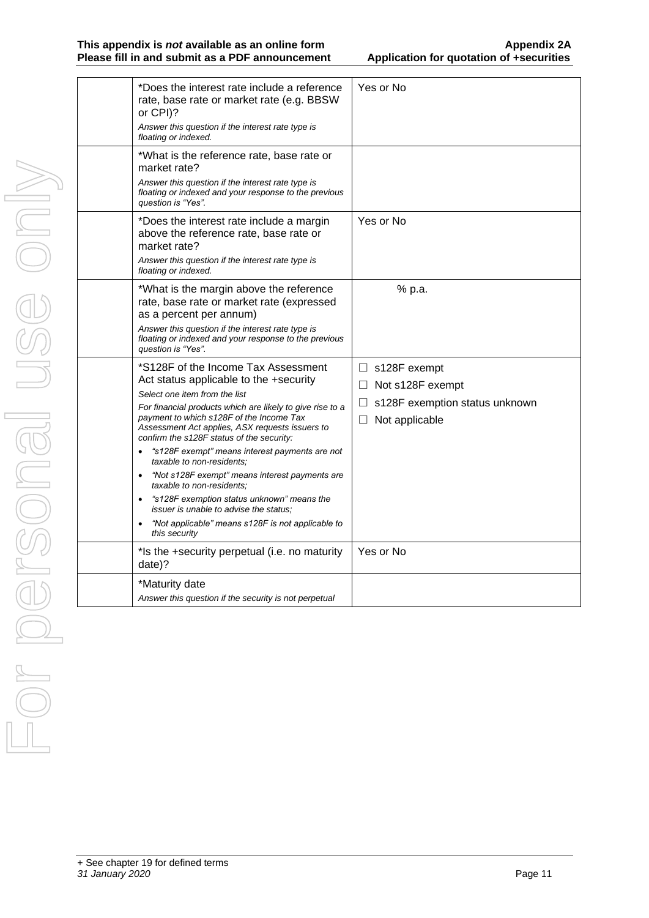| *Does the interest rate include a reference<br>rate, base rate or market rate (e.g. BBSW)<br>or CPI)?<br>Answer this question if the interest rate type is<br>floating or indexed.                                                                                                                                                                                                                                                                                                                                                                                                                                                                                                   | Yes or No                                                                                                         |
|--------------------------------------------------------------------------------------------------------------------------------------------------------------------------------------------------------------------------------------------------------------------------------------------------------------------------------------------------------------------------------------------------------------------------------------------------------------------------------------------------------------------------------------------------------------------------------------------------------------------------------------------------------------------------------------|-------------------------------------------------------------------------------------------------------------------|
| *What is the reference rate, base rate or<br>market rate?<br>Answer this question if the interest rate type is<br>floating or indexed and your response to the previous<br>question is "Yes".                                                                                                                                                                                                                                                                                                                                                                                                                                                                                        |                                                                                                                   |
| *Does the interest rate include a margin<br>above the reference rate, base rate or<br>market rate?<br>Answer this question if the interest rate type is<br>floating or indexed.                                                                                                                                                                                                                                                                                                                                                                                                                                                                                                      | Yes or No                                                                                                         |
| *What is the margin above the reference<br>rate, base rate or market rate (expressed<br>as a percent per annum)<br>Answer this question if the interest rate type is<br>floating or indexed and your response to the previous<br>question is "Yes".                                                                                                                                                                                                                                                                                                                                                                                                                                  | % p.a.                                                                                                            |
| *S128F of the Income Tax Assessment<br>Act status applicable to the +security<br>Select one item from the list<br>For financial products which are likely to give rise to a<br>payment to which s128F of the Income Tax<br>Assessment Act applies, ASX requests issuers to<br>confirm the s128F status of the security:<br>"s128F exempt" means interest payments are not<br>taxable to non-residents:<br>"Not s128F exempt" means interest payments are<br>$\bullet$<br>taxable to non-residents;<br>"s128F exemption status unknown" means the<br>$\bullet$<br><i>issuer is unable to advise the status:</i><br>"Not applicable" means s128F is not applicable to<br>this security | $\Box$ s128F exempt<br>$\Box$ Not s128F exempt<br>s128F exemption status unknown<br>Ш<br>Not applicable<br>$\Box$ |
| *Is the +security perpetual (i.e. no maturity<br>date)?                                                                                                                                                                                                                                                                                                                                                                                                                                                                                                                                                                                                                              | Yes or No                                                                                                         |
| *Maturity date<br>Answer this question if the security is not perpetual                                                                                                                                                                                                                                                                                                                                                                                                                                                                                                                                                                                                              |                                                                                                                   |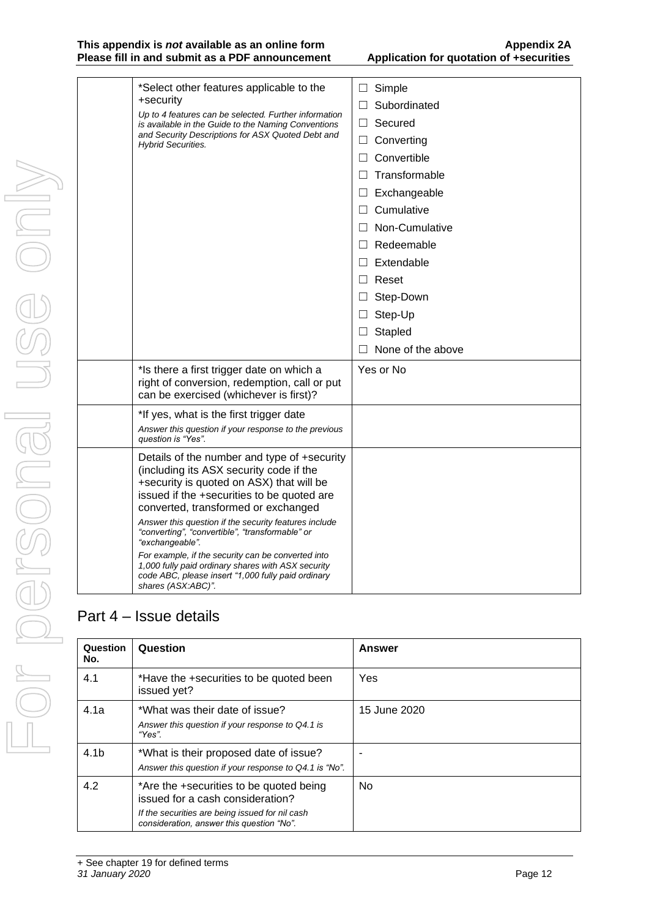#### **This appendix is** *not* **available as an online form Appendix 2A Please fill in and submit as a PDF announcement**

 $\overline{\phantom{a}}$ 

| *Select other features applicable to the<br>+security<br>Up to 4 features can be selected. Further information<br>is available in the Guide to the Naming Conventions<br>and Security Descriptions for ASX Quoted Debt and<br><b>Hybrid Securities.</b>                                                                                                                                                                                                                                                                                        | $\Box$ Simple<br>Subordinated<br>П<br>Secured<br>$\Box$<br>$\Box$ Converting<br>Convertible<br>П<br>Transformable<br>П<br>$\Box$ Exchangeable<br>Cumulative<br>П<br>$\Box$ Non-Cumulative<br>$\Box$ Redeemable<br>$\Box$ Extendable<br>$\Box$ Reset<br>Step-Down<br>$\Box$<br>Step-Up<br>$\Box$<br>Stapled<br>$\Box$<br>None of the above |
|------------------------------------------------------------------------------------------------------------------------------------------------------------------------------------------------------------------------------------------------------------------------------------------------------------------------------------------------------------------------------------------------------------------------------------------------------------------------------------------------------------------------------------------------|-------------------------------------------------------------------------------------------------------------------------------------------------------------------------------------------------------------------------------------------------------------------------------------------------------------------------------------------|
| *Is there a first trigger date on which a<br>right of conversion, redemption, call or put<br>can be exercised (whichever is first)?                                                                                                                                                                                                                                                                                                                                                                                                            | Yes or No                                                                                                                                                                                                                                                                                                                                 |
| *If yes, what is the first trigger date<br>Answer this question if your response to the previous<br>question is "Yes".                                                                                                                                                                                                                                                                                                                                                                                                                         |                                                                                                                                                                                                                                                                                                                                           |
| Details of the number and type of +security<br>(including its ASX security code if the<br>+security is quoted on ASX) that will be<br>issued if the +securities to be quoted are<br>converted, transformed or exchanged<br>Answer this question if the security features include<br>"converting", "convertible", "transformable" or<br>"exchangeable".<br>For example, if the security can be converted into<br>1,000 fully paid ordinary shares with ASX security<br>code ABC, please insert "1,000 fully paid ordinary<br>shares (ASX:ABC)". |                                                                                                                                                                                                                                                                                                                                           |

# Part 4 – Issue details

| Question<br>No.  | Question                                                                                                                                                                    | <b>Answer</b> |
|------------------|-----------------------------------------------------------------------------------------------------------------------------------------------------------------------------|---------------|
| 4.1              | *Have the +securities to be quoted been<br>issued yet?                                                                                                                      | <b>Yes</b>    |
| 4.1a             | *What was their date of issue?<br>Answer this question if your response to Q4.1 is<br>"Yes".                                                                                | 15 June 2020  |
| 4.1 <sub>b</sub> | *What is their proposed date of issue?<br>Answer this question if your response to Q4.1 is "No".                                                                            |               |
| 4.2              | *Are the +securities to be quoted being<br>issued for a cash consideration?<br>If the securities are being issued for nil cash<br>consideration, answer this question "No". | <b>No</b>     |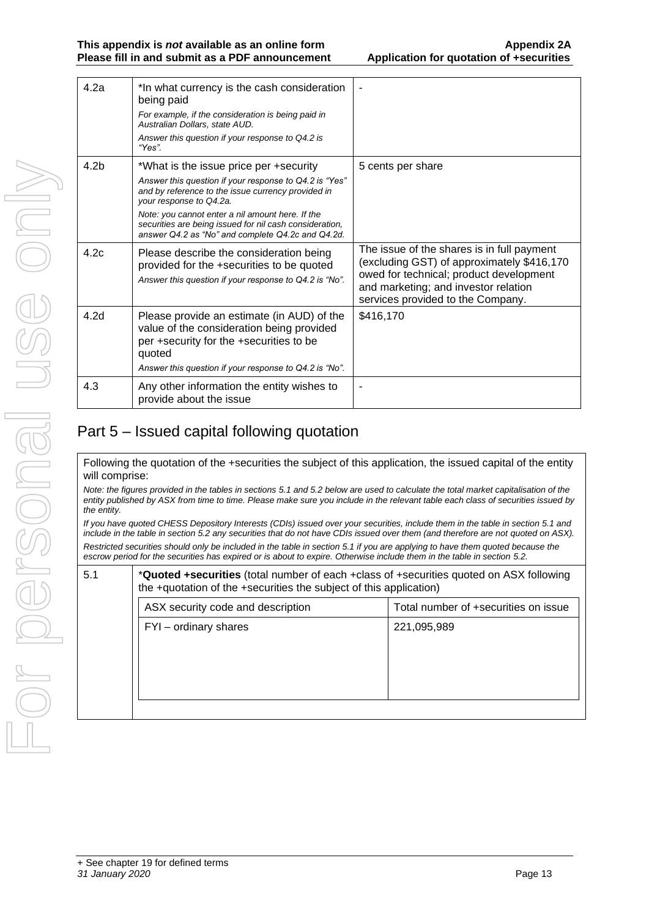| 4.2a             | *In what currency is the cash consideration<br>being paid                                                                                                                                              |                                                                                                                                                                                                                  |
|------------------|--------------------------------------------------------------------------------------------------------------------------------------------------------------------------------------------------------|------------------------------------------------------------------------------------------------------------------------------------------------------------------------------------------------------------------|
|                  | For example, if the consideration is being paid in<br>Australian Dollars, state AUD.                                                                                                                   |                                                                                                                                                                                                                  |
|                  | Answer this question if your response to Q4.2 is<br>"Yes".                                                                                                                                             |                                                                                                                                                                                                                  |
| 4.2 <sub>b</sub> | *What is the issue price per +security                                                                                                                                                                 | 5 cents per share                                                                                                                                                                                                |
|                  | Answer this question if your response to Q4.2 is "Yes"<br>and by reference to the issue currency provided in<br>your response to Q4.2a.                                                                |                                                                                                                                                                                                                  |
|                  | Note: you cannot enter a nil amount here. If the<br>securities are being issued for nil cash consideration,<br>answer Q4.2 as "No" and complete Q4.2c and Q4.2d.                                       |                                                                                                                                                                                                                  |
| 4.2c             | Please describe the consideration being<br>provided for the +securities to be quoted<br>Answer this question if your response to Q4.2 is "No".                                                         | The issue of the shares is in full payment<br>(excluding GST) of approximately \$416,170<br>owed for technical; product development<br>and marketing; and investor relation<br>services provided to the Company. |
| 4.2d             | Please provide an estimate (in AUD) of the<br>value of the consideration being provided<br>per +security for the +securities to be<br>quoted<br>Answer this question if your response to Q4.2 is "No". | \$416,170                                                                                                                                                                                                        |
| 4.3              | Any other information the entity wishes to<br>provide about the issue                                                                                                                                  |                                                                                                                                                                                                                  |
|                  |                                                                                                                                                                                                        |                                                                                                                                                                                                                  |

# Part 5 – Issued capital following quotation

Following the quotation of the +securities the subject of this application, the issued capital of the entity will comprise:

*Note: the figures provided in the tables in sections 5.1 and 5.2 below are used to calculate the total market capitalisation of the entity published by ASX from time to time. Please make sure you include in the relevant table each class of securities issued by the entity.*

*If you have quoted CHESS Depository Interests (CDIs) issued over your securities, include them in the table in section 5.1 and include in the table in section 5.2 any securities that do not have CDIs issued over them (and therefore are not quoted on ASX).*

*Restricted securities should only be included in the table in section 5.1 if you are applying to have them quoted because the escrow period for the securities has expired or is about to expire. Otherwise include them in the table in section 5.2.*

| 5.1 | * <b>Quoted +securities</b> (total number of each +class of +securities quoted on ASX following<br>the +quotation of the +securities the subject of this application) |                                      |
|-----|-----------------------------------------------------------------------------------------------------------------------------------------------------------------------|--------------------------------------|
|     | ASX security code and description                                                                                                                                     | Total number of +securities on issue |
|     | FYI - ordinary shares                                                                                                                                                 | 221,095,989                          |
|     |                                                                                                                                                                       |                                      |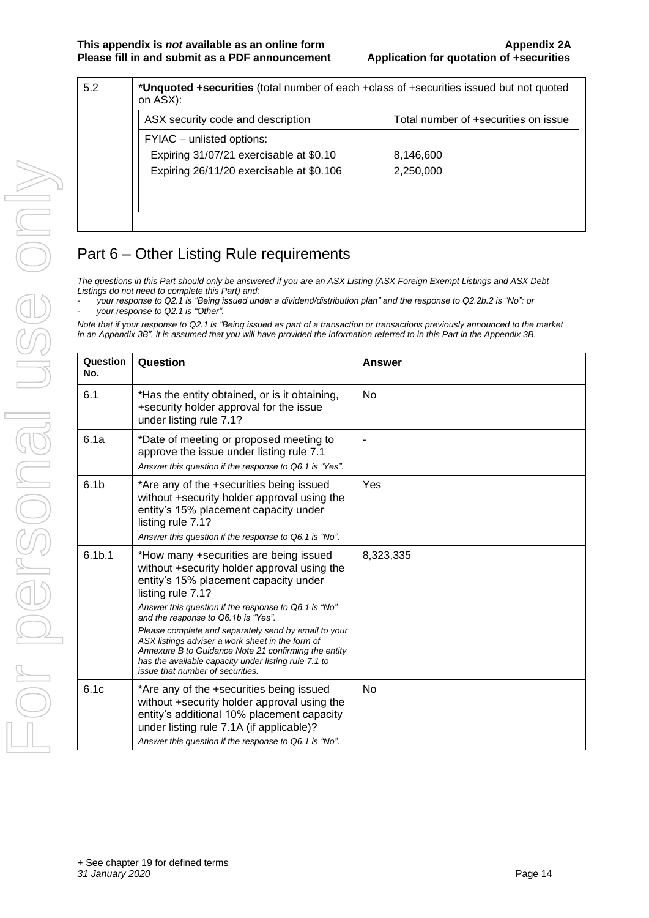| 5.2 | *Unquoted +securities (total number of each +class of +securities issued but not quoted<br>on ASX): |                                      |
|-----|-----------------------------------------------------------------------------------------------------|--------------------------------------|
|     | ASX security code and description                                                                   | Total number of +securities on issue |
|     | FYIAC – unlisted options:                                                                           |                                      |
|     | Expiring 31/07/21 exercisable at \$0.10                                                             | 8,146,600                            |
|     | Expiring 26/11/20 exercisable at \$0.106                                                            | 2,250,000                            |
|     |                                                                                                     |                                      |
|     |                                                                                                     |                                      |
|     |                                                                                                     |                                      |

# Part 6 – Other Listing Rule requirements

*The questions in this Part should only be answered if you are an ASX Listing (ASX Foreign Exempt Listings and ASX Debt Listings do not need to complete this Part) and:*

- *your response to Q2.1 is "Being issued under a dividend/distribution plan" and the response to Q2.2b.2 is "No"; or*  - *your response to Q2.1 is "Other".*

*Note that if your response to Q2.1 is "Being issued as part of a transaction or transactions previously announced to the market in an Appendix 3B", it is assumed that you will have provided the information referred to in this Part in the Appendix 3B.*

| Question<br>No.    | Question                                                                                                                                                                                                                                                                                                                                                                                                                                                                                                           | <b>Answer</b> |
|--------------------|--------------------------------------------------------------------------------------------------------------------------------------------------------------------------------------------------------------------------------------------------------------------------------------------------------------------------------------------------------------------------------------------------------------------------------------------------------------------------------------------------------------------|---------------|
| 6.1                | *Has the entity obtained, or is it obtaining,<br>+security holder approval for the issue<br>under listing rule 7.1?                                                                                                                                                                                                                                                                                                                                                                                                | <b>No</b>     |
| 6.1a               | *Date of meeting or proposed meeting to<br>approve the issue under listing rule 7.1<br>Answer this question if the response to Q6.1 is "Yes".                                                                                                                                                                                                                                                                                                                                                                      | ä,            |
| 6.1 <sub>b</sub>   | *Are any of the +securities being issued<br>without +security holder approval using the<br>entity's 15% placement capacity under<br>listing rule 7.1?<br>Answer this question if the response to Q6.1 is "No".                                                                                                                                                                                                                                                                                                     | Yes           |
| 6.1 <sub>b.1</sub> | *How many +securities are being issued<br>without +security holder approval using the<br>entity's 15% placement capacity under<br>listing rule 7.1?<br>Answer this question if the response to Q6.1 is "No"<br>and the response to Q6.1b is "Yes".<br>Please complete and separately send by email to your<br>ASX listings adviser a work sheet in the form of<br>Annexure B to Guidance Note 21 confirming the entity<br>has the available capacity under listing rule 7.1 to<br>issue that number of securities. | 8,323,335     |
| 6.1c               | *Are any of the +securities being issued<br>without +security holder approval using the<br>entity's additional 10% placement capacity<br>under listing rule 7.1A (if applicable)?<br>Answer this question if the response to Q6.1 is "No".                                                                                                                                                                                                                                                                         | <b>No</b>     |